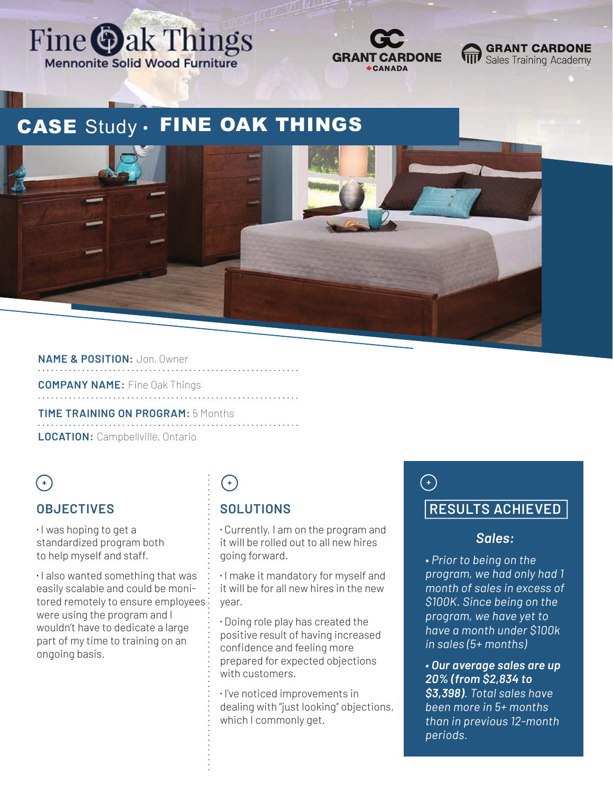



#### **GRANT CARDONE** Sales Training Academy

# CASE Study . FINE OAK THINGS



#### **NAME & POSITION:** Jon, Owner

**COMPANY NAME:** Fine Oak Things

**TIME TRAINING ON PROGRAM:** 5 Months **LOCATION:** Campbellville, Ontario

## $(+)$

#### **OBJECTIVES**

 $\cdot$  I was hoping to get a standardized program both to help myself and staff.

⁌ I also wanted something that was easily scalable and could be monitored remotely to ensure employees were using the program and I wouldn't have to dedicate a large part of my time to training on an ongoing basis.

# $\bigodot$

### **SOLUTIONS**

⁌ Currently, I am on the program and it will be rolled out to all new hires going forward.

⁌ I make it mandatory for myself and it will be for all new hires in the new year.

⁌ Doing role play has created the positive result of having increased confidence and feeling more prepared for expected objections with customers.

⁌ I've noticed improvements in dealing with "just looking" objections, which I commonly get.

# $\bigodot$

### **RESULTS ACHIEVED**

#### *Sales:*

*• Prior to being on the program, we had only had 1 month of sales in excess of \$100K. Since being on the program, we have yet to have a month under \$100k in sales (5+ months)*

*• Our average sales are up 20% (from \$2,834 to \$3,398). Total sales have been more in 5+ months than in previous 12-month periods.*